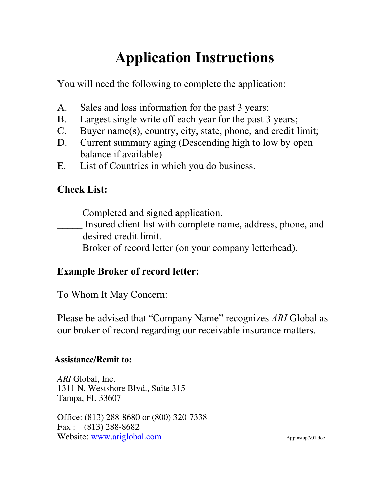# **Application Instructions**

You will need the following to complete the application:

- A. Sales and loss information for the past 3 years;
- B. Largest single write off each year for the past 3 years;
- C. Buyer name(s), country, city, state, phone, and credit limit;
- D. Current summary aging (Descending high to low by open balance if available)
- E. List of Countries in which you do business.

## **Check List:**

- \_\_\_\_\_Completed and signed application.
- \_\_\_\_\_ Insured client list with complete name, address, phone, and desired credit limit.

Broker of record letter (on your company letterhead).

## **Example Broker of record letter:**

To Whom It May Concern:

Please be advised that "Company Name" recognizes *ARI* Global as our broker of record regarding our receivable insurance matters.

## **Assistance/Remit to:**

*ARI* Global, Inc. 1311 N. Westshore Blvd., Suite 315 Tampa, FL 33607

Office: (813) 288-8680 or (800) 320-7338 Fax : (813) 288-8682 Website: www.ariglobal.com Appinstup7/01.doc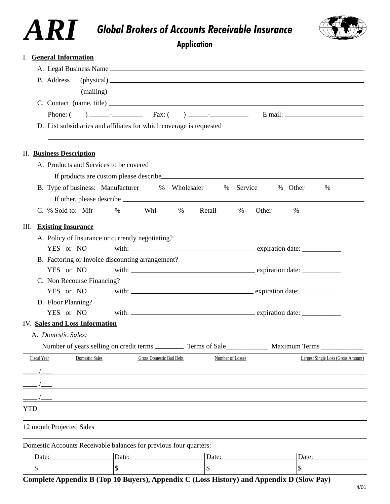## *Global Brokers of Accounts Receivable Insurance*

*ARI*



**Application**

|            | <b>I.</b> General Information                    |                                                                                                                       |                  |                                                                                                                                                                                                                                                                                                                                                                                                                               |  |
|------------|--------------------------------------------------|-----------------------------------------------------------------------------------------------------------------------|------------------|-------------------------------------------------------------------------------------------------------------------------------------------------------------------------------------------------------------------------------------------------------------------------------------------------------------------------------------------------------------------------------------------------------------------------------|--|
|            |                                                  |                                                                                                                       |                  |                                                                                                                                                                                                                                                                                                                                                                                                                               |  |
|            | B. Address                                       |                                                                                                                       |                  | $(\text{physical})$ $\qquad \qquad$                                                                                                                                                                                                                                                                                                                                                                                           |  |
|            |                                                  |                                                                                                                       |                  | (mailing)                                                                                                                                                                                                                                                                                                                                                                                                                     |  |
|            |                                                  |                                                                                                                       |                  | $C.$ Contact (name, title) $\qquad \qquad$                                                                                                                                                                                                                                                                                                                                                                                    |  |
|            | Phone: (                                         |                                                                                                                       |                  |                                                                                                                                                                                                                                                                                                                                                                                                                               |  |
|            |                                                  | D. List subsidiaries and affiliates for which coverage is requested                                                   |                  |                                                                                                                                                                                                                                                                                                                                                                                                                               |  |
|            | <b>II.</b> Business Description                  |                                                                                                                       |                  |                                                                                                                                                                                                                                                                                                                                                                                                                               |  |
|            |                                                  |                                                                                                                       |                  |                                                                                                                                                                                                                                                                                                                                                                                                                               |  |
|            |                                                  |                                                                                                                       |                  | If products are custom please describe example and the state of the state of the state of the state of the state of the state of the state of the state of the state of the state of the state of the state of the state of th                                                                                                                                                                                                |  |
|            |                                                  |                                                                                                                       |                  | B. Type of business: Manufacturer______% Wholesaler______% Service______% Other______%                                                                                                                                                                                                                                                                                                                                        |  |
|            |                                                  |                                                                                                                       |                  |                                                                                                                                                                                                                                                                                                                                                                                                                               |  |
| III.       | <b>Existing Insurance</b>                        |                                                                                                                       |                  |                                                                                                                                                                                                                                                                                                                                                                                                                               |  |
|            | A. Policy of Insurance or currently negotiating? |                                                                                                                       |                  |                                                                                                                                                                                                                                                                                                                                                                                                                               |  |
|            | YES or NO                                        |                                                                                                                       |                  |                                                                                                                                                                                                                                                                                                                                                                                                                               |  |
|            | B. Factoring or Invoice discounting arrangement? |                                                                                                                       |                  |                                                                                                                                                                                                                                                                                                                                                                                                                               |  |
|            | YES or NO                                        |                                                                                                                       |                  |                                                                                                                                                                                                                                                                                                                                                                                                                               |  |
|            | C. Non Recourse Financing?                       |                                                                                                                       |                  |                                                                                                                                                                                                                                                                                                                                                                                                                               |  |
|            | YES or NO                                        |                                                                                                                       |                  |                                                                                                                                                                                                                                                                                                                                                                                                                               |  |
|            | D. Floor Planning?<br>YES or NO                  |                                                                                                                       |                  | with: $\frac{1}{\sqrt{1-\frac{1}{\sqrt{1-\frac{1}{\sqrt{1-\frac{1}{\sqrt{1-\frac{1}{\sqrt{1-\frac{1}{\sqrt{1-\frac{1}{\sqrt{1-\frac{1}{\sqrt{1-\frac{1}{\sqrt{1-\frac{1}{\sqrt{1-\frac{1}{\sqrt{1-\frac{1}{\sqrt{1-\frac{1}{\sqrt{1-\frac{1}{\sqrt{1-\frac{1}{\sqrt{1-\frac{1}{\sqrt{1-\frac{1}{\sqrt{1-\frac{1}{\sqrt{1-\frac{1}{\sqrt{1-\frac{1}{\sqrt{1-\frac{1}{\sqrt{1-\frac{1}{\sqrt{1-\frac{1}{\sqrt{1-\frac{1}{\sqrt$ |  |
|            | <b>IV.</b> Sales and Loss Information            |                                                                                                                       |                  |                                                                                                                                                                                                                                                                                                                                                                                                                               |  |
|            | A. Domestic Sales:                               |                                                                                                                       |                  |                                                                                                                                                                                                                                                                                                                                                                                                                               |  |
|            |                                                  |                                                                                                                       |                  | Number of years selling on credit terms _____________ Terms of Sale________________ Maximum Terms ____________                                                                                                                                                                                                                                                                                                                |  |
|            | Domestic Sales<br><b>Fiscal Year</b>             | <b>Gross Domestic Bad Debt</b>                                                                                        | Number of Losses | Largest Single Loss (Gross Amount)                                                                                                                                                                                                                                                                                                                                                                                            |  |
|            |                                                  |                                                                                                                       |                  |                                                                                                                                                                                                                                                                                                                                                                                                                               |  |
|            |                                                  |                                                                                                                       |                  |                                                                                                                                                                                                                                                                                                                                                                                                                               |  |
|            |                                                  | <u> 1989 - Johann Stoff, deutscher Stoff, der Stoff, der Stoff, der Stoff, der Stoff, der Stoff, der Stoff, der S</u> |                  |                                                                                                                                                                                                                                                                                                                                                                                                                               |  |
|            |                                                  | <u> 1989 - Johann Stoff, deutscher Stoff, der Stoff, der Stoff, der Stoff, der Stoff, der Stoff, der Stoff, der S</u> |                  |                                                                                                                                                                                                                                                                                                                                                                                                                               |  |
| <b>YTD</b> |                                                  |                                                                                                                       |                  |                                                                                                                                                                                                                                                                                                                                                                                                                               |  |
|            | 12 month Projected Sales                         |                                                                                                                       |                  |                                                                                                                                                                                                                                                                                                                                                                                                                               |  |
|            |                                                  | Domestic Accounts Receivable balances for previous four quarters:                                                     |                  |                                                                                                                                                                                                                                                                                                                                                                                                                               |  |
|            |                                                  | Date: 2008                                                                                                            | Date:            | Date:                                                                                                                                                                                                                                                                                                                                                                                                                         |  |
| \$         |                                                  | $\mathsf{\$}$                                                                                                         | $\mathsf{\$}$    | \$                                                                                                                                                                                                                                                                                                                                                                                                                            |  |
|            |                                                  |                                                                                                                       |                  | Complete Appendix B (Top 10 Buyers), Appendix C (Loss History) and Appendix D (Slow Pay)                                                                                                                                                                                                                                                                                                                                      |  |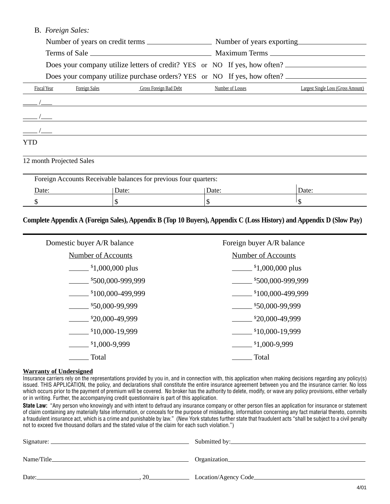#### B. *Foreign Sales:*

|                                      | Does your company utilize letters of credit? YES or NO If yes, how often? |               |                                                                         |       |                  |                                    |
|--------------------------------------|---------------------------------------------------------------------------|---------------|-------------------------------------------------------------------------|-------|------------------|------------------------------------|
|                                      |                                                                           |               | Does your company utilize purchase orders? YES or NO If yes, how often? |       |                  |                                    |
|                                      | Fiscal Year                                                               | Foreign Sales | Gross Foreign Bad Debt                                                  |       | Number of Losses | Largest Single Loss (Gross Amount) |
|                                      |                                                                           |               |                                                                         |       |                  |                                    |
|                                      |                                                                           |               |                                                                         |       |                  |                                    |
| $\frac{1}{\sqrt{1-\frac{1}{2}}}\int$ |                                                                           |               |                                                                         |       |                  |                                    |
| YTD                                  |                                                                           |               |                                                                         |       |                  |                                    |
|                                      | 12 month Projected Sales                                                  |               |                                                                         |       |                  |                                    |
|                                      |                                                                           |               | Foreign Accounts Receivable balances for previous four quarters:        |       |                  |                                    |
| Date:                                |                                                                           |               | Date:                                                                   | Date: |                  | Date:                              |

#### **Complete Appendix A (Foreign Sales), Appendix B (Top 10 Buyers), Appendix C (Loss History) and Appendix D (Slow Pay)**

\$\$ \$ \$

| Domestic buyer A/R balance                        | Foreign buyer A/R balance                   |
|---------------------------------------------------|---------------------------------------------|
| <b>Number of Accounts</b>                         | <b>Number of Accounts</b>                   |
| $\frac{\text{I}}{\text{I}}$ = 1,000,000 plus      | $\frac{\text{I}}{\text{I}}$ ,000,000 plus   |
| \$500,000-999,999                                 | \$500,000-999,999                           |
| \$100,000-499,999                                 | \$100,000-499,999                           |
| $\frac{$50,000-99,999}{$                          | \$50,000-99,999                             |
| \$20,000-49,999                                   | \$20,000-49,999                             |
| $\frac{\text{I}}{\text{I}}\frac{10,000-19,999}{}$ | $\frac{\text{I}}{\text{I}}$ \$10,000-19,999 |
| $\frac{\$1,000-9,999}{}$                          | $\frac{\text{I}}{\text{I}}$ ,000-9,999      |
| Total                                             | Total                                       |

#### **Warranty of Undersigned**

Insurance carriers rely on the representations provided by you in, and in connection with, this application when making decisions regarding any policy(s) issued. THIS APPLICATION, the policy, and declarations shall constitute the entire insurance agreement between you and the insurance carrier. No loss which occurs prior to the payment of premium will be covered. No broker has the authority to delete, modify, or wave any policy provisions, either verbally or in writing. Further, the accompanying credit questionnaire is part of this application.

**State Law:** "Any person who knowingly and with intent to defraud any insurance company or other person files an application for insurance or statement of claim containing any materially false information, or conceals for the purpose of misleading, information concerning any fact material thereto, commits a fraudulent insurance act, which is a crime and punishable by law." (New York statutes further state that fraudulent acts "shall be subject to a civil penalty not to exceed five thousand dollars and the stated value of the claim for each such violation.")

| Signature:  |          | Submitted by:         |  |  |
|-------------|----------|-----------------------|--|--|
| Name/Title_ |          | Organization_         |  |  |
| Date:       | $\gamma$ | Location/Agency Code_ |  |  |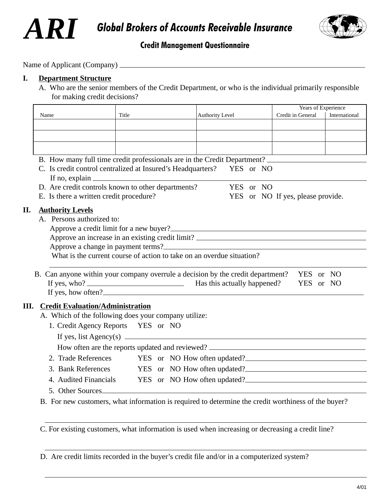



### **Credit Management Questionnaire**

Name of Applicant (Company)

#### **I. Department Structure**

A. Who are the senior members of the Credit Department, or who is the individual primarily responsible for making credit decisions?

|                                                                                                                                                                                                                                        |                                                                                   |                        |           |  |                                   | Years of Experience |  |
|----------------------------------------------------------------------------------------------------------------------------------------------------------------------------------------------------------------------------------------|-----------------------------------------------------------------------------------|------------------------|-----------|--|-----------------------------------|---------------------|--|
| Name                                                                                                                                                                                                                                   | Title                                                                             | <b>Authority Level</b> |           |  | Credit in General                 | International       |  |
|                                                                                                                                                                                                                                        |                                                                                   |                        |           |  |                                   |                     |  |
|                                                                                                                                                                                                                                        |                                                                                   |                        |           |  |                                   |                     |  |
|                                                                                                                                                                                                                                        |                                                                                   |                        |           |  |                                   |                     |  |
| B. How many full time credit professionals are in the Credit Department?                                                                                                                                                               |                                                                                   |                        |           |  |                                   |                     |  |
| C. Is credit control centralized at Insured's Headquarters?                                                                                                                                                                            |                                                                                   |                        | YES or NO |  |                                   |                     |  |
| If no, explain $\sqrt{\frac{2}{n}}$                                                                                                                                                                                                    |                                                                                   |                        |           |  |                                   |                     |  |
| D. Are credit controls known to other departments?                                                                                                                                                                                     |                                                                                   |                        | YES or NO |  |                                   |                     |  |
| E. Is there a written credit procedure?                                                                                                                                                                                                |                                                                                   |                        |           |  | YES or NO If yes, please provide. |                     |  |
| <b>Authority Levels</b>                                                                                                                                                                                                                |                                                                                   |                        |           |  |                                   |                     |  |
| A. Persons authorized to:                                                                                                                                                                                                              |                                                                                   |                        |           |  |                                   |                     |  |
| Approve a credit limit for a new buyer?<br><u>Letter and the contract of the contract of the contract of the contract of the contract of the contract of the contract of the contract of the contract of the contract of the contr</u> |                                                                                   |                        |           |  |                                   |                     |  |
| Approve an increase in an existing credit limit? ________________________________                                                                                                                                                      |                                                                                   |                        |           |  |                                   |                     |  |
| What is the current course of action to take on an overdue situation?                                                                                                                                                                  |                                                                                   |                        |           |  |                                   |                     |  |
|                                                                                                                                                                                                                                        |                                                                                   |                        |           |  |                                   |                     |  |
|                                                                                                                                                                                                                                        |                                                                                   |                        |           |  |                                   | YES or NO           |  |
|                                                                                                                                                                                                                                        |                                                                                   |                        |           |  |                                   | YES or NO           |  |
| B. Can anyone within your company overrule a decision by the credit department?                                                                                                                                                        |                                                                                   |                        |           |  |                                   |                     |  |
| If yes, how often?                                                                                                                                                                                                                     |                                                                                   |                        |           |  |                                   |                     |  |
|                                                                                                                                                                                                                                        |                                                                                   |                        |           |  |                                   |                     |  |
| <b>Credit Evaluation/Administration</b><br>Ш.<br>A. Which of the following does your company utilize:                                                                                                                                  |                                                                                   |                        |           |  |                                   |                     |  |
|                                                                                                                                                                                                                                        |                                                                                   |                        |           |  |                                   |                     |  |
| 1. Credit Agency Reports YES or NO                                                                                                                                                                                                     |                                                                                   |                        |           |  |                                   |                     |  |
|                                                                                                                                                                                                                                        | If yes, list Agency(s) $\overline{\phantom{a}}$                                   |                        |           |  |                                   |                     |  |
|                                                                                                                                                                                                                                        | How often are the reports updated and reviewed? _________________________________ |                        |           |  |                                   |                     |  |
| 2. Trade References YES or NO How often updated?                                                                                                                                                                                       |                                                                                   |                        |           |  |                                   |                     |  |
| 3. Bank References YES or NO How often updated?                                                                                                                                                                                        |                                                                                   |                        |           |  |                                   |                     |  |
| 4. Audited Financials YES or NO How often updated?<br><u>Example 2001</u><br>5. Other Sources                                                                                                                                          |                                                                                   |                        |           |  |                                   |                     |  |

C. For existing customers, what information is used when increasing or decreasing a credit line?

D. Are credit limits recorded in the buyer's credit file and/or in a computerized system?